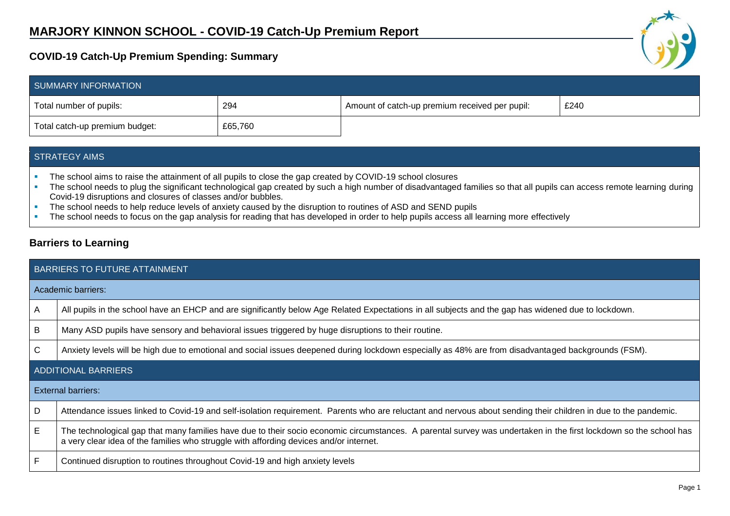## **COVID-19 Catch-Up Premium Spending: Summary**

| SUMMARY INFORMATION            |         |                                                |      |  |
|--------------------------------|---------|------------------------------------------------|------|--|
| Total number of pupils:        | 294     | Amount of catch-up premium received per pupil: | £240 |  |
| Total catch-up premium budget: | £65,760 |                                                |      |  |

## STRATEGY AIMS

- The school aims to raise the attainment of all pupils to close the gap created by COVID-19 school closures
- The school needs to plug the significant technological gap created by such a high number of disadvantaged families so that all pupils can access remote learning during Covid-19 disruptions and closures of classes and/or bubbles.
- The school needs to help reduce levels of anxiety caused by the disruption to routines of ASD and SEND pupils
- The school needs to focus on the gap analysis for reading that has developed in order to help pupils access all learning more effectively

## **Barriers to Learning**

| <b>BARRIERS TO FUTURE ATTAINMENT</b> |                                                                                                                                                                                                                                                             |  |  |  |  |
|--------------------------------------|-------------------------------------------------------------------------------------------------------------------------------------------------------------------------------------------------------------------------------------------------------------|--|--|--|--|
|                                      | Academic barriers:                                                                                                                                                                                                                                          |  |  |  |  |
| A                                    | All pupils in the school have an EHCP and are significantly below Age Related Expectations in all subjects and the gap has widened due to lockdown.                                                                                                         |  |  |  |  |
| B                                    | Many ASD pupils have sensory and behavioral issues triggered by huge disruptions to their routine.                                                                                                                                                          |  |  |  |  |
| С                                    | Anxiety levels will be high due to emotional and social issues deepened during lockdown especially as 48% are from disadvantaged backgrounds (FSM).                                                                                                         |  |  |  |  |
| <b>ADDITIONAL BARRIERS</b>           |                                                                                                                                                                                                                                                             |  |  |  |  |
| External barriers:                   |                                                                                                                                                                                                                                                             |  |  |  |  |
| D                                    | Attendance issues linked to Covid-19 and self-isolation requirement. Parents who are reluctant and nervous about sending their children in due to the pandemic.                                                                                             |  |  |  |  |
| Е                                    | The technological gap that many families have due to their socio economic circumstances. A parental survey was undertaken in the first lockdown so the school has<br>a very clear idea of the families who struggle with affording devices and/or internet. |  |  |  |  |
| F                                    | Continued disruption to routines throughout Covid-19 and high anxiety levels                                                                                                                                                                                |  |  |  |  |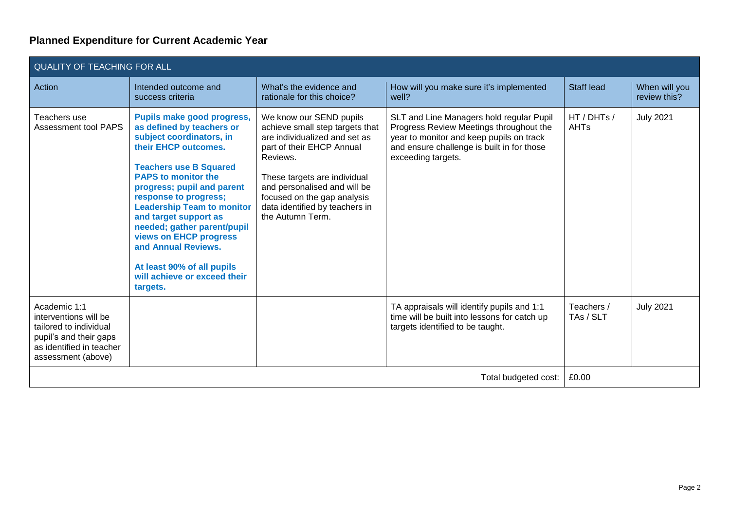## **Planned Expenditure for Current Academic Year**

| <b>QUALITY OF TEACHING FOR ALL</b>                                                                                                          |                                                                                                                                                                                                                                                                                                                                                                                                                                                           |                                                                                                                                                                                                                                                                                           |                                                                                                                                                                                                     |                            |                               |  |  |
|---------------------------------------------------------------------------------------------------------------------------------------------|-----------------------------------------------------------------------------------------------------------------------------------------------------------------------------------------------------------------------------------------------------------------------------------------------------------------------------------------------------------------------------------------------------------------------------------------------------------|-------------------------------------------------------------------------------------------------------------------------------------------------------------------------------------------------------------------------------------------------------------------------------------------|-----------------------------------------------------------------------------------------------------------------------------------------------------------------------------------------------------|----------------------------|-------------------------------|--|--|
| Action                                                                                                                                      | Intended outcome and<br>success criteria                                                                                                                                                                                                                                                                                                                                                                                                                  | What's the evidence and<br>rationale for this choice?                                                                                                                                                                                                                                     | How will you make sure it's implemented<br>well?                                                                                                                                                    | Staff lead                 | When will you<br>review this? |  |  |
| Teachers use<br><b>Assessment tool PAPS</b>                                                                                                 | Pupils make good progress,<br>as defined by teachers or<br>subject coordinators, in<br>their EHCP outcomes.<br><b>Teachers use B Squared</b><br><b>PAPS to monitor the</b><br>progress; pupil and parent<br>response to progress;<br><b>Leadership Team to monitor</b><br>and target support as<br>needed; gather parent/pupil<br>views on EHCP progress<br>and Annual Reviews.<br>At least 90% of all pupils<br>will achieve or exceed their<br>targets. | We know our SEND pupils<br>achieve small step targets that<br>are individualized and set as<br>part of their EHCP Annual<br>Reviews.<br>These targets are individual<br>and personalised and will be<br>focused on the gap analysis<br>data identified by teachers in<br>the Autumn Term. | SLT and Line Managers hold regular Pupil<br>Progress Review Meetings throughout the<br>year to monitor and keep pupils on track<br>and ensure challenge is built in for those<br>exceeding targets. | HT / DHTs /<br><b>AHTs</b> | <b>July 2021</b>              |  |  |
| Academic 1:1<br>interventions will be<br>tailored to individual<br>pupil's and their gaps<br>as identified in teacher<br>assessment (above) |                                                                                                                                                                                                                                                                                                                                                                                                                                                           |                                                                                                                                                                                                                                                                                           | TA appraisals will identify pupils and 1:1<br>time will be built into lessons for catch up<br>targets identified to be taught.                                                                      | Teachers /<br>TAs / SLT    | <b>July 2021</b>              |  |  |
| Total budgeted cost:                                                                                                                        |                                                                                                                                                                                                                                                                                                                                                                                                                                                           |                                                                                                                                                                                                                                                                                           |                                                                                                                                                                                                     | £0.00                      |                               |  |  |